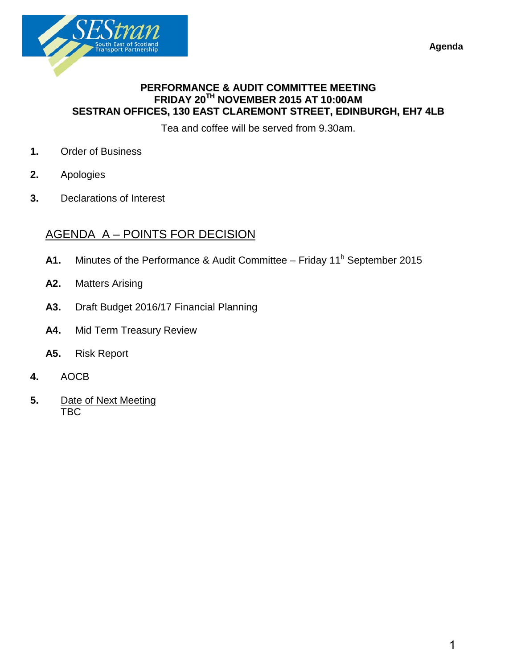**Agenda** 



## **PERFORMANCE & AUDIT COMMITTEE MEETING FRIDAY 20TH NOVEMBER 2015 AT 10:00AM SESTRAN OFFICES, 130 EAST CLAREMONT STREET, EDINBURGH, EH7 4LB**

Tea and coffee will be served from 9.30am.

- **1.** Order of Business
- **2.** Apologies
- **3.** Declarations of Interest

## AGENDA A – POINTS FOR DECISION

- A1. Minutes of the Performance & Audit Committee Friday 11<sup>h</sup> September 2015
- **A2.** Matters Arising
- **A3.** Draft Budget 2016/17 Financial Planning
- **A4.** Mid Term Treasury Review
- **A5.** Risk Report
- **4.** AOCB
- **5.** Date of Next Meeting TBC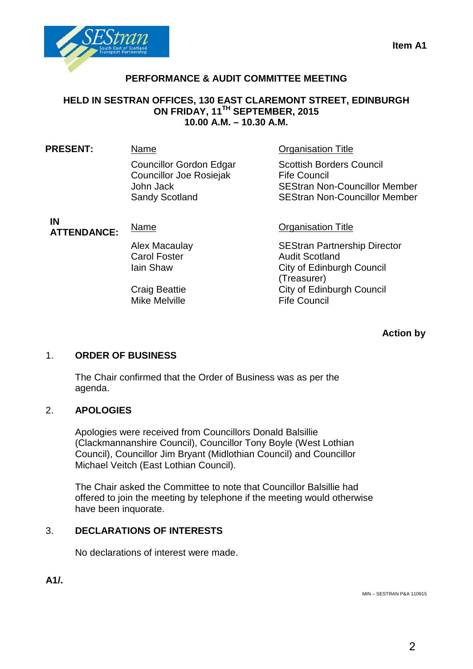

## **PERFORMANCE & AUDIT COMMITTEE MEETING**

## **HELD IN SESTRAN OFFICES, 130 EAST CLAREMONT STREET, EDINBURGH ON FRIDAY, 11TH SEPTEMBER, 2015 10.00 A.M. – 10.30 A.M.**

| <b>PRESENT:</b>          | Name                                                                                            | <b>Organisation Title</b>                                                                                                              |
|--------------------------|-------------------------------------------------------------------------------------------------|----------------------------------------------------------------------------------------------------------------------------------------|
|                          | <b>Councillor Gordon Edgar</b><br>Councillor Joe Rosiejak<br>John Jack<br><b>Sandy Scotland</b> | <b>Scottish Borders Council</b><br><b>Fife Council</b><br><b>SEStran Non-Councillor Member</b><br><b>SEStran Non-Councillor Member</b> |
| IN<br><b>ATTENDANCE:</b> | Name                                                                                            | <b>Organisation Title</b>                                                                                                              |
|                          | Alex Macaulay<br><b>Carol Foster</b><br>lain Shaw                                               | <b>SEStran Partnership Director</b><br><b>Audit Scotland</b><br>City of Edinburgh Council<br>(Treasurer)                               |
|                          | <b>Craig Beattie</b><br><b>Mike Melville</b>                                                    | City of Edinburgh Council<br><b>Fife Council</b>                                                                                       |

**Action by**

## 1. **ORDER OF BUSINESS**

The Chair confirmed that the Order of Business was as per the agenda.

## 2. **APOLOGIES**

Apologies were received from Councillors Donald Balsillie (Clackmannanshire Council), Councillor Tony Boyle (West Lothian Council), Councillor Jim Bryant (Midlothian Council) and Councillor Michael Veitch (East Lothian Council).

The Chair asked the Committee to note that Councillor Balsillie had offered to join the meeting by telephone if the meeting would otherwise have been inquorate.

## 3. **DECLARATIONS OF INTERESTS**

No declarations of interest were made.

**A1/.**

MIN – SESTRAN P&A 110915

# **Item A1**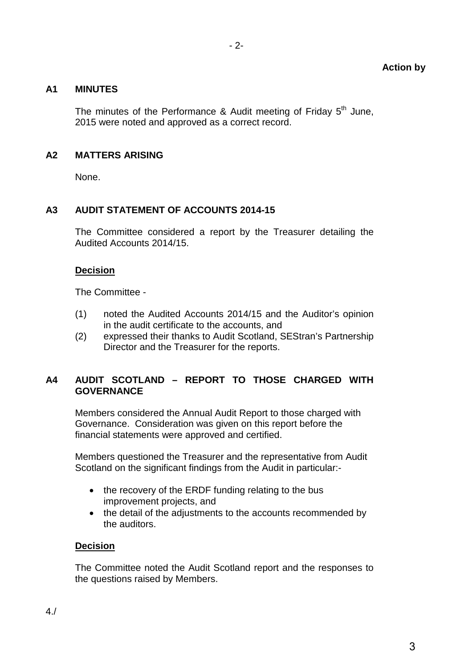## **A1 MINUTES**

The minutes of the Performance & Audit meeting of Friday  $5<sup>th</sup>$  June, 2015 were noted and approved as a correct record.

## **A2 MATTERS ARISING**

None.

## **A3 AUDIT STATEMENT OF ACCOUNTS 2014-15**

The Committee considered a report by the Treasurer detailing the Audited Accounts 2014/15.

## **Decision**

The Committee -

- (1) noted the Audited Accounts 2014/15 and the Auditor's opinion in the audit certificate to the accounts, and
- (2) expressed their thanks to Audit Scotland, SEStran's Partnership Director and the Treasurer for the reports.

## **A4 AUDIT SCOTLAND – REPORT TO THOSE CHARGED WITH GOVERNANCE**

Members considered the Annual Audit Report to those charged with Governance. Consideration was given on this report before the financial statements were approved and certified.

Members questioned the Treasurer and the representative from Audit Scotland on the significant findings from the Audit in particular:-

- the recovery of the ERDF funding relating to the bus improvement projects, and
- the detail of the adjustments to the accounts recommended by the auditors.

## **Decision**

The Committee noted the Audit Scotland report and the responses to the questions raised by Members.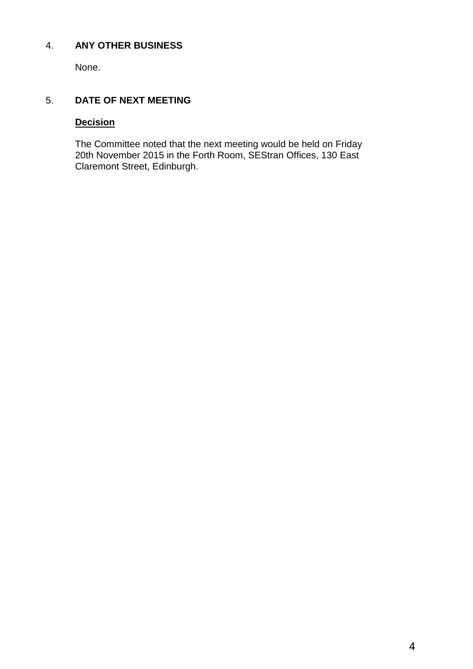## 4. **ANY OTHER BUSINESS**

None.

## 5. **DATE OF NEXT MEETING**

## **Decision**

The Committee noted that the next meeting would be held on Friday 20th November 2015 in the Forth Room, SEStran Offices, 130 East Claremont Street, Edinburgh.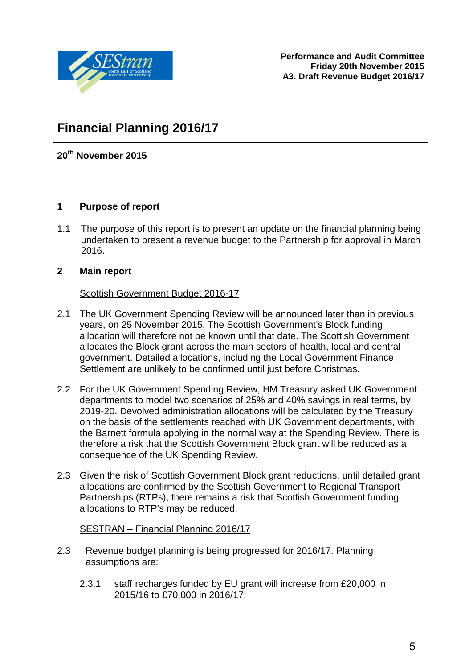

**Performance and Audit Committee Friday 20th November 2015 A3. Draft Revenue Budget 2016/17** 

## **Financial Planning 2016/17**

**20th November 2015**

## **1 Purpose of report**

1.1 The purpose of this report is to present an update on the financial planning being undertaken to present a revenue budget to the Partnership for approval in March 2016.

## **2 Main report**

## Scottish Government Budget 2016-17

- 2.1 The UK Government Spending Review will be announced later than in previous years, on 25 November 2015. The Scottish Government's Block funding allocation will therefore not be known until that date. The Scottish Government allocates the Block grant across the main sectors of health, local and central government. Detailed allocations, including the Local Government Finance Settlement are unlikely to be confirmed until just before Christmas.
- 2.2 For the UK Government Spending Review, HM Treasury asked UK Government departments to model two scenarios of 25% and 40% savings in real terms, by 2019-20. Devolved administration allocations will be calculated by the Treasury on the basis of the settlements reached with UK Government departments, with the Barnett formula applying in the normal way at the Spending Review. There is therefore a risk that the Scottish Government Block grant will be reduced as a consequence of the UK Spending Review.
- 2.3 Given the risk of Scottish Government Block grant reductions, until detailed grant allocations are confirmed by the Scottish Government to Regional Transport Partnerships (RTPs), there remains a risk that Scottish Government funding allocations to RTP's may be reduced.

## SESTRAN – Financial Planning 2016/17

- 2.3 Revenue budget planning is being progressed for 2016/17. Planning assumptions are:
	- 2.3.1 staff recharges funded by EU grant will increase from £20,000 in 2015/16 to £70,000 in 2016/17;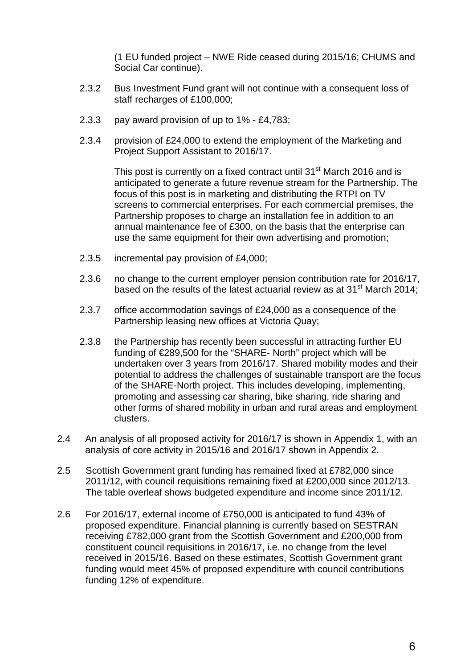(1 EU funded project – NWE Ride ceased during 2015/16; CHUMS and Social Car continue).

- 2.3.2 Bus Investment Fund grant will not continue with a consequent loss of staff recharges of £100,000;
- 2.3.3 pay award provision of up to 1% £4,783;
- 2.3.4 provision of £24,000 to extend the employment of the Marketing and Project Support Assistant to 2016/17.

This post is currently on a fixed contract until 31<sup>st</sup> March 2016 and is anticipated to generate a future revenue stream for the Partnership. The focus of this post is in marketing and distributing the RTPI on TV screens to commercial enterprises. For each commercial premises, the Partnership proposes to charge an installation fee in addition to an annual maintenance fee of £300, on the basis that the enterprise can use the same equipment for their own advertising and promotion;

- 2.3.5 incremental pay provision of £4,000;
- 2.3.6 no change to the current employer pension contribution rate for 2016/17, based on the results of the latest actuarial review as at 31<sup>st</sup> March 2014;
- 2.3.7 office accommodation savings of £24,000 as a consequence of the Partnership leasing new offices at Victoria Quay;
- 2.3.8 the Partnership has recently been successful in attracting further EU funding of €289,500 for the "SHARE- North" project which will be undertaken over 3 years from 2016/17. Shared mobility modes and their potential to address the challenges of sustainable transport are the focus of the SHARE-North project. This includes developing, implementing, promoting and assessing car sharing, bike sharing, ride sharing and other forms of shared mobility in urban and rural areas and employment clusters.
- 2.4 An analysis of all proposed activity for 2016/17 is shown in Appendix 1, with an analysis of core activity in 2015/16 and 2016/17 shown in Appendix 2.
- 2.5 Scottish Government grant funding has remained fixed at £782,000 since 2011/12, with council requisitions remaining fixed at £200,000 since 2012/13. The table overleaf shows budgeted expenditure and income since 2011/12.
- 2.6 For 2016/17, external income of £750,000 is anticipated to fund 43% of proposed expenditure. Financial planning is currently based on SESTRAN receiving £782,000 grant from the Scottish Government and £200,000 from constituent council requisitions in 2016/17, i.e. no change from the level received in 2015/16. Based on these estimates, Scottish Government grant funding would meet 45% of proposed expenditure with council contributions funding 12% of expenditure.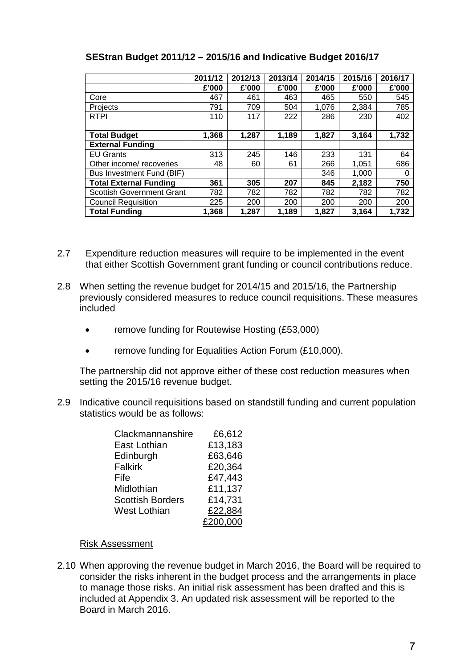|                                  | 2011/12 | 2012/13 | 2013/14 | 2014/15 | 2015/16 | 2016/17 |
|----------------------------------|---------|---------|---------|---------|---------|---------|
|                                  | £'000   | £'000   | £'000   | £'000   | £'000   | £'000   |
| Core                             | 467     | 461     | 463     | 465     | 550     | 545     |
| Projects                         | 791     | 709     | 504     | 1,076   | 2,384   | 785     |
| <b>RTPI</b>                      | 110     | 117     | 222     | 286     | 230     | 402     |
|                                  |         |         |         |         |         |         |
| <b>Total Budget</b>              | 1,368   | 1,287   | 1,189   | 1,827   | 3,164   | 1,732   |
| <b>External Funding</b>          |         |         |         |         |         |         |
| <b>EU Grants</b>                 | 313     | 245     | 146     | 233     | 131     | 64      |
| Other income/ recoveries         | 48      | 60      | 61      | 266     | 1,051   | 686     |
| Bus Investment Fund (BIF)        |         |         |         | 346     | 1,000   | 0       |
| <b>Total External Funding</b>    | 361     | 305     | 207     | 845     | 2,182   | 750     |
| <b>Scottish Government Grant</b> | 782     | 782     | 782     | 782     | 782     | 782     |
| <b>Council Requisition</b>       | 225     | 200     | 200     | 200     | 200     | 200     |
| <b>Total Funding</b>             | 1,368   | 1,287   | 1,189   | 1,827   | 3.164   | 1,732   |

## **SEStran Budget 2011/12 – 2015/16 and Indicative Budget 2016/17**

- 2.7 Expenditure reduction measures will require to be implemented in the event that either Scottish Government grant funding or council contributions reduce.
- 2.8 When setting the revenue budget for 2014/15 and 2015/16, the Partnership previously considered measures to reduce council requisitions. These measures included
	- remove funding for Routewise Hosting (£53,000)
	- remove funding for Equalities Action Forum (£10,000).

The partnership did not approve either of these cost reduction measures when setting the 2015/16 revenue budget.

2.9 Indicative council requisitions based on standstill funding and current population statistics would be as follows:

| Clackmannanshire        | £6,612   |
|-------------------------|----------|
| East Lothian            | £13,183  |
| Edinburgh               | £63,646  |
| <b>Falkirk</b>          | £20,364  |
| Fife                    | £47,443  |
| Midlothian              | £11,137  |
| <b>Scottish Borders</b> | £14,731  |
| <b>West Lothian</b>     | £22,884  |
|                         | £200.000 |

## Risk Assessment

2.10 When approving the revenue budget in March 2016, the Board will be required to consider the risks inherent in the budget process and the arrangements in place to manage those risks. An initial risk assessment has been drafted and this is included at Appendix 3. An updated risk assessment will be reported to the Board in March 2016.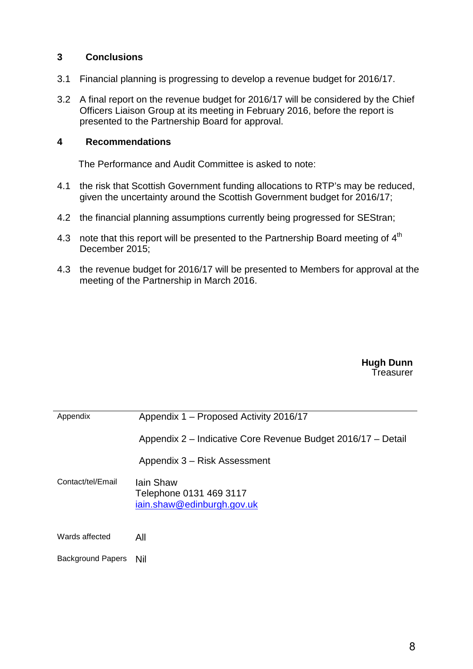## **3 Conclusions**

- 3.1 Financial planning is progressing to develop a revenue budget for 2016/17.
- 3.2 A final report on the revenue budget for 2016/17 will be considered by the Chief Officers Liaison Group at its meeting in February 2016, before the report is presented to the Partnership Board for approval.

#### **4 Recommendations**

The Performance and Audit Committee is asked to note:

- 4.1 the risk that Scottish Government funding allocations to RTP's may be reduced, given the uncertainty around the Scottish Government budget for 2016/17;
- 4.2 the financial planning assumptions currently being progressed for SEStran;
- 4.3 note that this report will be presented to the Partnership Board meeting of  $4<sup>th</sup>$ December 2015;
- 4.3 the revenue budget for 2016/17 will be presented to Members for approval at the meeting of the Partnership in March 2016.

**Hugh Dunn Treasurer** 

| Appendix                 | Appendix 1 – Proposed Activity 2016/17                                    |  |  |  |  |  |  |  |  |
|--------------------------|---------------------------------------------------------------------------|--|--|--|--|--|--|--|--|
|                          | Appendix 2 – Indicative Core Revenue Budget 2016/17 – Detail              |  |  |  |  |  |  |  |  |
|                          | Appendix 3 – Risk Assessment                                              |  |  |  |  |  |  |  |  |
| Contact/tel/Email        | <b>lain Shaw</b><br>Telephone 0131 469 3117<br>iain.shaw@edinburgh.gov.uk |  |  |  |  |  |  |  |  |
| Wards affected           | All                                                                       |  |  |  |  |  |  |  |  |
| <b>Background Papers</b> | Nil                                                                       |  |  |  |  |  |  |  |  |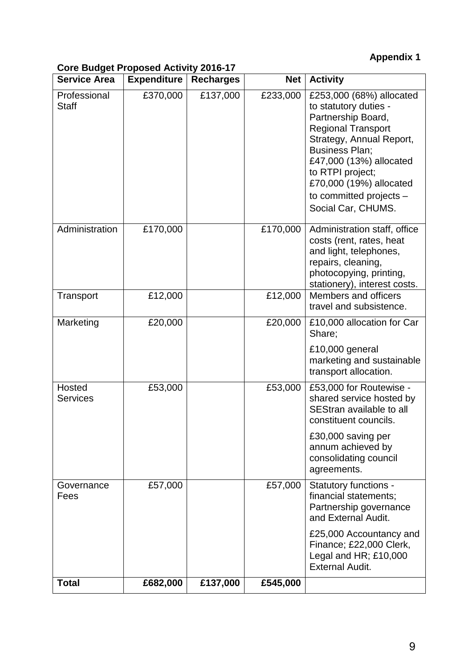## **Appendix 1**

## **Core Budget Proposed Activity 2016-17**

| <b>Service Area</b>          | <b>Expenditure</b> | <b>Recharges</b> | <b>Net</b> | <b>Activity</b>                                                                                                                                                                                                                                                                      |
|------------------------------|--------------------|------------------|------------|--------------------------------------------------------------------------------------------------------------------------------------------------------------------------------------------------------------------------------------------------------------------------------------|
| Professional<br><b>Staff</b> | £370,000           | £137,000         | £233,000   | £253,000 (68%) allocated<br>to statutory duties -<br>Partnership Board,<br><b>Regional Transport</b><br>Strategy, Annual Report,<br><b>Business Plan;</b><br>£47,000 (13%) allocated<br>to RTPI project;<br>£70,000 (19%) allocated<br>to committed projects -<br>Social Car, CHUMS. |
| Administration               | £170,000           |                  | £170,000   | Administration staff, office<br>costs (rent, rates, heat<br>and light, telephones,<br>repairs, cleaning,<br>photocopying, printing,<br>stationery), interest costs.                                                                                                                  |
| Transport                    | £12,000            |                  | £12,000    | Members and officers<br>travel and subsistence.                                                                                                                                                                                                                                      |
| Marketing                    | £20,000            |                  | £20,000    | £10,000 allocation for Car<br>Share;                                                                                                                                                                                                                                                 |
|                              |                    |                  |            | £10,000 general<br>marketing and sustainable<br>transport allocation.                                                                                                                                                                                                                |
| Hosted<br><b>Services</b>    | £53,000            |                  | £53,000    | £53,000 for Routewise -<br>shared service hosted by<br>SEStran available to all<br>constituent councils.                                                                                                                                                                             |
|                              |                    |                  |            | £30,000 saving per<br>annum achieved by<br>consolidating council<br>agreements.                                                                                                                                                                                                      |
| Governance<br>Fees           | £57,000            |                  | £57,000    | Statutory functions -<br>financial statements;<br>Partnership governance<br>and External Audit.                                                                                                                                                                                      |
|                              |                    |                  |            | £25,000 Accountancy and<br>Finance; £22,000 Clerk,<br>Legal and HR; £10,000<br><b>External Audit.</b>                                                                                                                                                                                |
| <b>Total</b>                 | £682,000           | £137,000         | £545,000   |                                                                                                                                                                                                                                                                                      |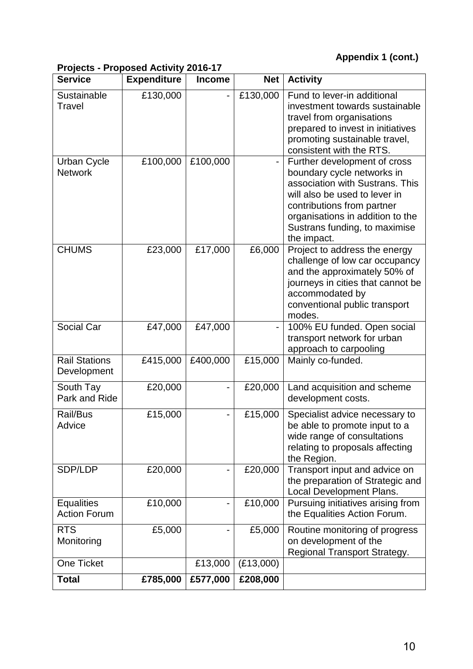## **Appendix 1 (cont.)**

## **Projects - Proposed Activity 2016-17**

| <b>Service</b>                           | <b>Expenditure</b> | <b>Income</b> | <b>Net</b> | <b>Activity</b>                                                                                                                                                                                                                                  |
|------------------------------------------|--------------------|---------------|------------|--------------------------------------------------------------------------------------------------------------------------------------------------------------------------------------------------------------------------------------------------|
| Sustainable<br>Travel                    | £130,000           |               | £130,000   | Fund to lever-in additional<br>investment towards sustainable<br>travel from organisations<br>prepared to invest in initiatives<br>promoting sustainable travel,<br>consistent with the RTS.                                                     |
| <b>Urban Cycle</b><br><b>Network</b>     | £100,000           | £100,000      |            | Further development of cross<br>boundary cycle networks in<br>association with Sustrans. This<br>will also be used to lever in<br>contributions from partner<br>organisations in addition to the<br>Sustrans funding, to maximise<br>the impact. |
| <b>CHUMS</b>                             | £23,000            | £17,000       | £6,000     | Project to address the energy<br>challenge of low car occupancy<br>and the approximately 50% of<br>journeys in cities that cannot be<br>accommodated by<br>conventional public transport<br>modes.                                               |
| Social Car                               | £47,000            | £47,000       |            | 100% EU funded. Open social<br>transport network for urban<br>approach to carpooling                                                                                                                                                             |
| <b>Rail Stations</b><br>Development      | £415,000           | £400,000      | £15,000    | Mainly co-funded.                                                                                                                                                                                                                                |
| South Tay<br>Park and Ride               | £20,000            |               | £20,000    | Land acquisition and scheme<br>development costs.                                                                                                                                                                                                |
| Rail/Bus<br>Advice                       | £15,000            |               | £15,000    | Specialist advice necessary to<br>be able to promote input to a<br>wide range of consultations<br>relating to proposals affecting<br>the Region.                                                                                                 |
| SDP/LDP                                  | £20,000            |               | £20,000    | Transport input and advice on<br>the preparation of Strategic and<br>Local Development Plans.                                                                                                                                                    |
| <b>Equalities</b><br><b>Action Forum</b> | £10,000            |               | £10,000    | Pursuing initiatives arising from<br>the Equalities Action Forum.                                                                                                                                                                                |
| <b>RTS</b><br>Monitoring                 | £5,000             |               | £5,000     | Routine monitoring of progress<br>on development of the<br>Regional Transport Strategy.                                                                                                                                                          |
| <b>One Ticket</b>                        |                    | £13,000       | (E13,000)  |                                                                                                                                                                                                                                                  |
| <b>Total</b>                             | £785,000           | £577,000      | £208,000   |                                                                                                                                                                                                                                                  |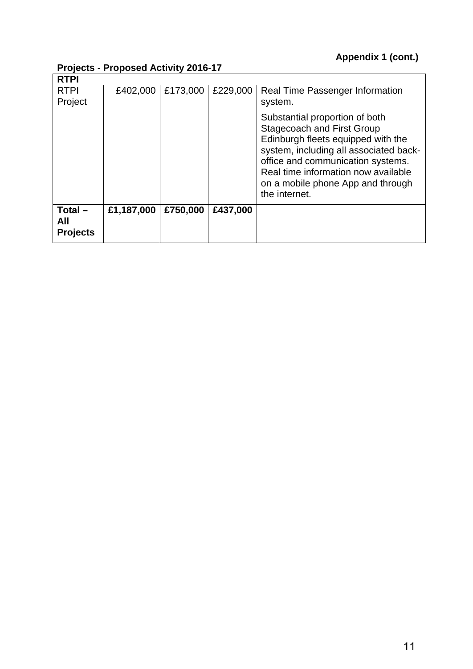## **Projects - Proposed Activity 2016-17**

|                                     | 1.00000<br>$1.000300$ AVIIVILY EVIDELI |          |          |                                                                                                                                                                                                                                                                                       |  |  |  |  |  |  |
|-------------------------------------|----------------------------------------|----------|----------|---------------------------------------------------------------------------------------------------------------------------------------------------------------------------------------------------------------------------------------------------------------------------------------|--|--|--|--|--|--|
| <b>RTPI</b>                         |                                        |          |          |                                                                                                                                                                                                                                                                                       |  |  |  |  |  |  |
| <b>RTPI</b>                         | £402,000                               | £173,000 | £229,000 | Real Time Passenger Information                                                                                                                                                                                                                                                       |  |  |  |  |  |  |
| Project                             |                                        |          |          | system.                                                                                                                                                                                                                                                                               |  |  |  |  |  |  |
|                                     |                                        |          |          | Substantial proportion of both<br><b>Stagecoach and First Group</b><br>Edinburgh fleets equipped with the<br>system, including all associated back-<br>office and communication systems.<br>Real time information now available<br>on a mobile phone App and through<br>the internet. |  |  |  |  |  |  |
| $Total -$<br>All<br><b>Projects</b> | £1,187,000                             | £750,000 | £437,000 |                                                                                                                                                                                                                                                                                       |  |  |  |  |  |  |
|                                     |                                        |          |          |                                                                                                                                                                                                                                                                                       |  |  |  |  |  |  |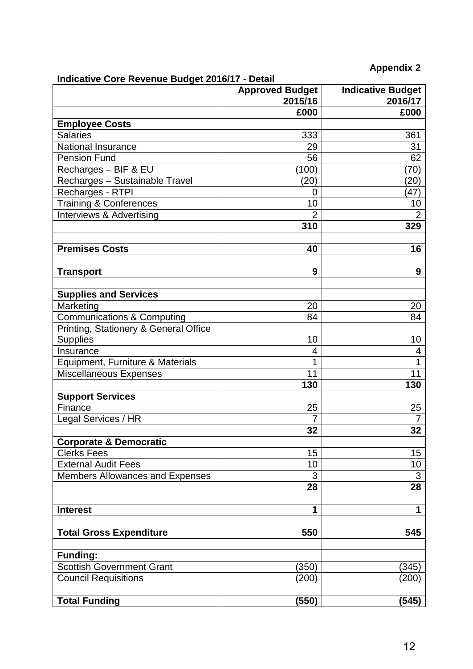## **Appendix 2**

## **Indicative Core Revenue Budget 2016/17 - Detail**

| 000000 0010 110701100 Daugot 2010/17   | <b>Approved Budget</b><br>2015/16 | <b>Indicative Budget</b><br>2016/17 |
|----------------------------------------|-----------------------------------|-------------------------------------|
|                                        | £000                              | £000                                |
| <b>Employee Costs</b>                  |                                   |                                     |
| <b>Salaries</b>                        | 333                               | 361                                 |
| National Insurance                     | 29                                | 31                                  |
| <b>Pension Fund</b>                    | 56                                | 62                                  |
| Recharges - BIF & EU                   | (100)                             | (70)                                |
| Recharges - Sustainable Travel         | (20)                              | $\left( 20\right)$                  |
| Recharges - RTPI                       | 0                                 | (47)                                |
| <b>Training &amp; Conferences</b>      | 10                                | 10                                  |
| Interviews & Advertising               | 2                                 | $\overline{2}$                      |
|                                        | 310                               | 329                                 |
| <b>Premises Costs</b>                  | 40                                | 16                                  |
| <b>Transport</b>                       | 9                                 | 9                                   |
| <b>Supplies and Services</b>           |                                   |                                     |
| Marketing                              | 20                                | 20                                  |
| Communications & Computing             | 84                                | 84                                  |
| Printing, Stationery & General Office  |                                   |                                     |
| <b>Supplies</b>                        | 10                                | 10                                  |
| Insurance                              | 4                                 | 4                                   |
| Equipment, Furniture & Materials       | 1                                 | 1                                   |
| Miscellaneous Expenses                 | 11                                | 11                                  |
|                                        | 130                               | 130                                 |
| <b>Support Services</b>                |                                   |                                     |
| Finance                                | 25                                | 25                                  |
| Legal Services / HR                    | 7                                 | $\overline{7}$                      |
|                                        | 32                                | 32                                  |
| <b>Corporate &amp; Democratic</b>      |                                   |                                     |
| <b>Clerks Fees</b>                     | 15                                | 15                                  |
| <b>External Audit Fees</b>             | 10                                | 10                                  |
| <b>Members Allowances and Expenses</b> | 3                                 | 3                                   |
|                                        | 28                                | 28                                  |
| <b>Interest</b>                        | 1                                 | $\mathbf 1$                         |
| <b>Total Gross Expenditure</b>         | 550                               | 545                                 |
| <b>Funding:</b>                        |                                   |                                     |
| <b>Scottish Government Grant</b>       | (350)                             | (345)                               |
| <b>Council Requisitions</b>            | (200)                             | (200)                               |
| <b>Total Funding</b>                   | (550)                             | (545)                               |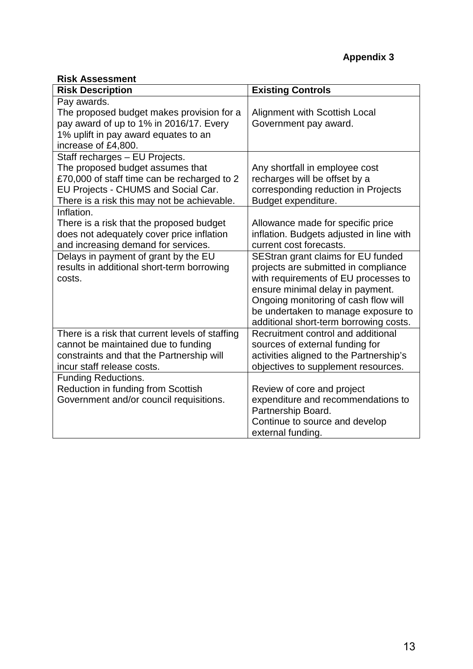## **Risk Assessment**

| <b>Risk Description</b>                                                               | <b>Existing Controls</b>                                                      |
|---------------------------------------------------------------------------------------|-------------------------------------------------------------------------------|
| Pay awards.<br>The proposed budget makes provision for a                              | Alignment with Scottish Local                                                 |
| pay award of up to 1% in 2016/17. Every                                               | Government pay award.                                                         |
| 1% uplift in pay award equates to an                                                  |                                                                               |
| increase of £4,800.<br>Staff recharges - EU Projects.                                 |                                                                               |
| The proposed budget assumes that                                                      | Any shortfall in employee cost                                                |
| £70,000 of staff time can be recharged to 2                                           | recharges will be offset by a                                                 |
| EU Projects - CHUMS and Social Car.                                                   | corresponding reduction in Projects                                           |
| There is a risk this may not be achievable.                                           | Budget expenditure.                                                           |
| Inflation.                                                                            |                                                                               |
| There is a risk that the proposed budget<br>does not adequately cover price inflation | Allowance made for specific price<br>inflation. Budgets adjusted in line with |
| and increasing demand for services.                                                   | current cost forecasts.                                                       |
| Delays in payment of grant by the EU                                                  | SEStran grant claims for EU funded                                            |
| results in additional short-term borrowing                                            | projects are submitted in compliance                                          |
| costs.                                                                                | with requirements of EU processes to                                          |
|                                                                                       | ensure minimal delay in payment.                                              |
|                                                                                       | Ongoing monitoring of cash flow will<br>be undertaken to manage exposure to   |
|                                                                                       | additional short-term borrowing costs.                                        |
| There is a risk that current levels of staffing                                       | Recruitment control and additional                                            |
| cannot be maintained due to funding                                                   | sources of external funding for                                               |
| constraints and that the Partnership will                                             | activities aligned to the Partnership's                                       |
| incur staff release costs.                                                            | objectives to supplement resources.                                           |
| <b>Funding Reductions.</b><br>Reduction in funding from Scottish                      | Review of core and project                                                    |
| Government and/or council requisitions.                                               | expenditure and recommendations to                                            |
|                                                                                       | Partnership Board.                                                            |
|                                                                                       | Continue to source and develop                                                |
|                                                                                       | external funding.                                                             |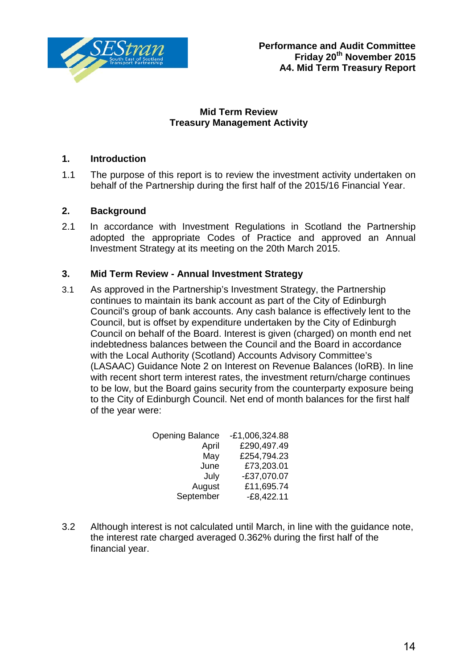

## **Mid Term Review Treasury Management Activity**

## **1. Introduction**

1.1 The purpose of this report is to review the investment activity undertaken on behalf of the Partnership during the first half of the 2015/16 Financial Year.

## **2. Background**

2.1 In accordance with Investment Regulations in Scotland the Partnership adopted the appropriate Codes of Practice and approved an Annual Investment Strategy at its meeting on the 20th March 2015.

## **3. Mid Term Review - Annual Investment Strategy**

3.1 As approved in the Partnership's Investment Strategy, the Partnership continues to maintain its bank account as part of the City of Edinburgh Council's group of bank accounts. Any cash balance is effectively lent to the Council, but is offset by expenditure undertaken by the City of Edinburgh Council on behalf of the Board. Interest is given (charged) on month end net indebtedness balances between the Council and the Board in accordance with the Local Authority (Scotland) Accounts Advisory Committee's (LASAAC) Guidance Note 2 on Interest on Revenue Balances (IoRB). In line with recent short term interest rates, the investment return/charge continues to be low, but the Board gains security from the counterparty exposure being to the City of Edinburgh Council. Net end of month balances for the first half of the year were:

| $-E1,006,324.88$ |
|------------------|
| £290,497.49      |
| £254,794.23      |
| £73,203.01       |
| $-£37,070.07$    |
| £11,695.74       |
| $-E8,422.11$     |
|                  |

3.2 Although interest is not calculated until March, in line with the guidance note, the interest rate charged averaged 0.362% during the first half of the financial year.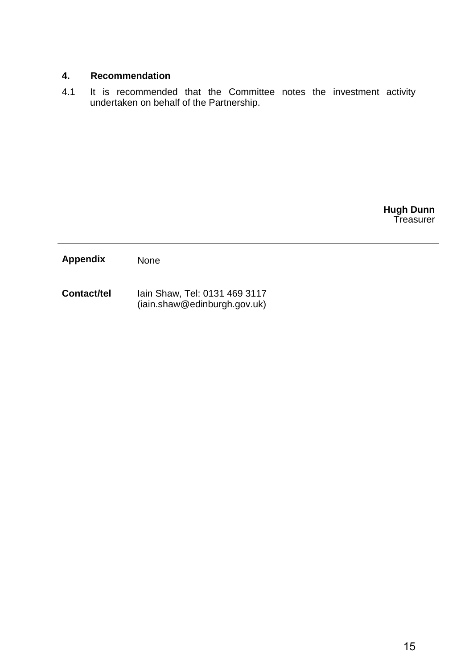## **4. Recommendation**

4.1 It is recommended that the Committee notes the investment activity undertaken on behalf of the Partnership.

> **Hugh Dunn** Treasurer

**Appendix** None

**Contact/tel** Iain Shaw, Tel: 0131 469 3117 (iain.shaw@edinburgh.gov.uk)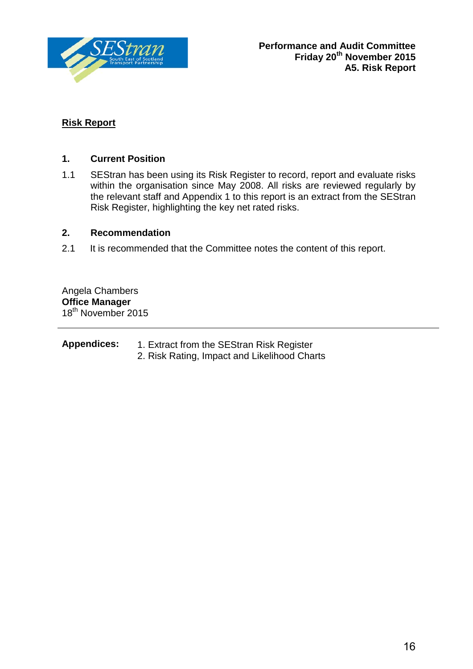

## **Risk Report**

## **1. Current Position**

1.1 SEStran has been using its Risk Register to record, report and evaluate risks within the organisation since May 2008. All risks are reviewed regularly by the relevant staff and Appendix 1 to this report is an extract from the SEStran Risk Register, highlighting the key net rated risks.

## **2. Recommendation**

2.1 It is recommended that the Committee notes the content of this report.

Angela Chambers **Office Manager** 18<sup>th</sup> November 2015

| <b>Appendices:</b> | 1. Extract from the SEStran Risk Register    |
|--------------------|----------------------------------------------|
|                    | 2. Risk Rating, Impact and Likelihood Charts |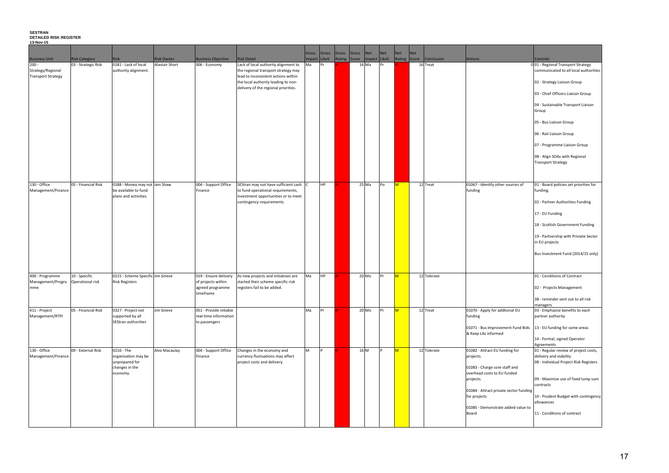#### **SESTRAN DETAILED RISK REGISTER**

**13-Nov-15**

|                                                                                   |                                                          |                                                                                                                                               |                       |                                                                                                    |                                                                                                                                                                                                                                                             | Gross         | Gross                  | Gross | Gross        | Net            |          | Net | <b>Net</b>        | <b>Net</b> |                         |                                                                                                                                                                                                                                   |                                                                                                                                                                                                                                                                                                                                           |
|-----------------------------------------------------------------------------------|----------------------------------------------------------|-----------------------------------------------------------------------------------------------------------------------------------------------|-----------------------|----------------------------------------------------------------------------------------------------|-------------------------------------------------------------------------------------------------------------------------------------------------------------------------------------------------------------------------------------------------------------|---------------|------------------------|-------|--------------|----------------|----------|-----|-------------------|------------|-------------------------|-----------------------------------------------------------------------------------------------------------------------------------------------------------------------------------------------------------------------------------|-------------------------------------------------------------------------------------------------------------------------------------------------------------------------------------------------------------------------------------------------------------------------------------------------------------------------------------------|
| <b>Business Unit</b>                                                              | <b>Risk Category</b>                                     | <b>Risk</b>                                                                                                                                   | <b>Risk Owner</b>     | <b>Business Objective</b>                                                                          | <b>Risk Detail</b>                                                                                                                                                                                                                                          | Impact Likeli |                        |       | Rating Score | Impact Likeli  |          |     |                   |            | Rating Score Conclusion | Actions                                                                                                                                                                                                                           | <b>Controls</b>                                                                                                                                                                                                                                                                                                                           |
| $200 -$<br>Strategy/Regional<br><b>Transport Strategy</b>                         | 03 - Strategic Risk                                      | 0181 - Lack of local<br>authority alignment.                                                                                                  | <b>Alastair Short</b> | 006 - Economy                                                                                      | Lack of local authority alignment to<br>the regional transport strategy may<br>lead to inconsistent actions within<br>the local authority leading to non-<br>delivery of the regional priorities.                                                           | Ma            | Pr                     |       |              | 16 Ma          | Pr       |     |                   |            | 16 Treat                |                                                                                                                                                                                                                                   | 001 - Regional Transport Strategy<br>communicated to all local autho<br>02 - Strategy Liaison Group<br>03 - Chief Officers Liaison Group<br>04 - Sustainable Transport Liaiso<br>Group<br>05 - Bus Liaison Group<br>06 - Rail Liaison Group<br>07 - Programme Liaison Group<br>08 - Align SOAs with Regional<br><b>Transport Strategy</b> |
|                                                                                   |                                                          |                                                                                                                                               |                       |                                                                                                    |                                                                                                                                                                                                                                                             |               |                        |       |              |                |          |     |                   |            |                         |                                                                                                                                                                                                                                   |                                                                                                                                                                                                                                                                                                                                           |
| 130 - Office<br>Management/Finance<br>400 - Programme<br>Management/Progra<br>mme | 05 - Financial Risk<br>10 - Specific<br>Operational risk | 0188 - Money may not lain Shaw<br>be available to fund<br>plans and activities.<br>0215 - Scheme Specific Jim Grieve<br><b>Risk Registers</b> |                       | 004 - Support Office<br>Finance<br>019 - Ensure delivery<br>of projects within<br>agreed programme | SEStran may not have sufficient cash C<br>to fund operational requirements,<br>investment opportunities or to meet<br>contingency requirements.<br>As new projects and initiatives are<br>started their scheme specific risk<br>registers fail to be added. | Ma            | <b>HP</b><br><b>HP</b> |       |              | 25 Ma<br>20 Mo | Po<br>Pr |     | $\mathsf{M}$<br>M |            | 12 Treat<br>12 Tolerate | 01067 - Identify other sources of<br>funding                                                                                                                                                                                      | 01 - Board policies set priorities<br>funding.<br>02 - Partner Authorities Funding<br>17 - EU Funding<br>18 - Scottish Government Fundir<br>19 - Partnership with Priviate Se<br>in EU projects<br>Bus Investment Fund (2014/15 o<br>01 - Conditions of Contract<br>02 - Projects Management                                              |
|                                                                                   |                                                          |                                                                                                                                               |                       | timeframe                                                                                          |                                                                                                                                                                                                                                                             |               |                        |       |              |                |          |     |                   |            |                         |                                                                                                                                                                                                                                   | 38 - reminder sent out to all risk<br>managers                                                                                                                                                                                                                                                                                            |
| 411 - Project<br>Management/RTPI                                                  | 05 - Financial Risk                                      | 0327 - Project not<br>supported by all<br>SEStran authorities                                                                                 | Jim Grieve            | 051 - Provide reliable<br>real-time information<br>to passengers                                   |                                                                                                                                                                                                                                                             | Ma            | Pr                     |       |              | $20$ Mo        | Pr       |     | <b>M</b>          |            | 12 Treat                | 01070 - Apply for addtional EU<br>funding<br>01071 - Bus Improvement Fund Bids<br>& Keep LAs informed                                                                                                                             | 03 - Emphasise benefits to each<br>partner authority<br>13 - EU funding for some areas<br>14 - Formal, signed Operator<br>Agreements                                                                                                                                                                                                      |
| 130 - Office<br>Management/Finance                                                | 09 - External Risk                                       | 0216 - The<br>organisation may be<br>unprepared for<br>changes in the<br>economy.                                                             | Alex Macaulay         | 004 - Support Office<br>Finance                                                                    | Changes in the economy and<br>currency fluctuations may affect<br>project costs and delivery.                                                                                                                                                               | M             | <b>P</b>               |       |              | 16 M           | P        |     | M                 |            | 12 Tolerate             | 01082 - Attract EU funding for<br>projects.<br>01083 - Charge core staff and<br>overhead costs to EU funded<br>projects.<br>01084 - Attract private sector funding<br>for projects<br>01085 - Demonstrate added value to<br>Board | 01 - Regular review of project co<br>delivery and viability<br>08 - Individual Project Risk Regis<br>09 - Maximise use of fixed lump<br>contracts<br>10 - Prudent Budget with conting<br>allowances<br>11 - Conditions of contract                                                                                                        |

|                           | Controls                                                                    |
|---------------------------|-----------------------------------------------------------------------------|
|                           | 001 - Regional Transport Strategy<br>communicated to all local authorities. |
|                           | 02 - Strategy Liaison Group                                                 |
|                           | 03 - Chief Officers Liaison Group                                           |
|                           | 04 - Sustainable Transport Liaison<br>Group                                 |
|                           | 05 - Bus Liaison Group                                                      |
|                           | 06 - Rail Liaison Group                                                     |
|                           | 07 - Programme Liaison Group                                                |
|                           | 08 - Align SOAs with Regional<br>Transport Strategy                         |
|                           |                                                                             |
| her sources of            | 01 - Board policies set priorities for<br>funding.                          |
|                           | 02 - Partner Authorities Funding                                            |
|                           | 17 - EU Funding                                                             |
|                           | 18 - Scottish Government Funding                                            |
|                           | 19 - Partnership with Priviate Sector<br>in EU projects                     |
|                           | Bus Investment Fund (2014/15 only)                                          |
|                           | 01 - Conditions of Contract                                                 |
|                           | 02 - Projects Management                                                    |
|                           | 38 - reminder sent out to all risk<br>managers                              |
| addtional EU              | 03 - Emphasise benefits to each                                             |
|                           | partner authority                                                           |
| vement Fund Bids<br>ıed   | 13 - EU funding for some areas                                              |
|                           | 14 - Formal, signed Operator                                                |
| funding for               | Agreements<br>01 - Regular review of project costs,                         |
|                           | delivery and viability                                                      |
|                           | 08 - Individual Project Risk Registers                                      |
| re staff and<br>EU funded |                                                                             |
|                           | 09 - Maximise use of fixed lump sum                                         |
|                           | contracts                                                                   |
| vate sector funding       | 10 - Prudent Budget with contingency                                        |
|                           | allowances                                                                  |
| ate added value to        | 11 - Conditions of contract                                                 |
|                           |                                                                             |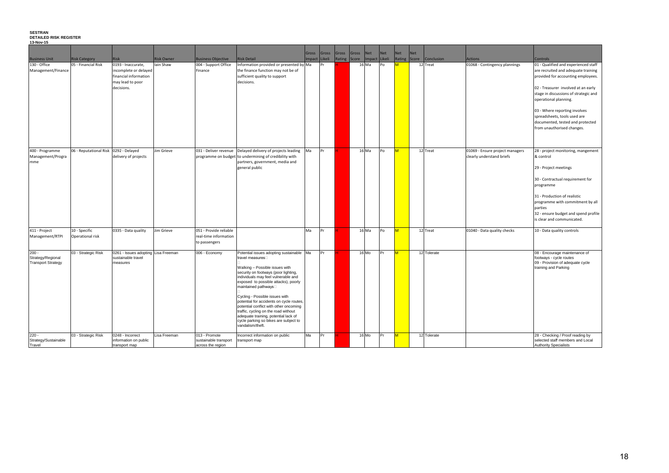#### **SESTRAN**

#### **DETAILED RISK REGISTER 13-Nov-15**

|                                                            | <b>Risk Category</b>                  | <b>Risk</b>                                                                                                         | <b>Risk Owner</b> |                                                                  |                                                                                                                                                                                                                                                                                                                                                                                                                                                                                                                   | Gross | Gross<br>Impact Likeli | Gross<br>Rating Score | Gross | Net     | <b>Net</b><br>Impact Likeli | <b>Net</b><br>Rating    | <b>Net</b><br>Score | Conclusion  |                                                              |                                                                                                                                                                                                                                                                                                                                                                                  |
|------------------------------------------------------------|---------------------------------------|---------------------------------------------------------------------------------------------------------------------|-------------------|------------------------------------------------------------------|-------------------------------------------------------------------------------------------------------------------------------------------------------------------------------------------------------------------------------------------------------------------------------------------------------------------------------------------------------------------------------------------------------------------------------------------------------------------------------------------------------------------|-------|------------------------|-----------------------|-------|---------|-----------------------------|-------------------------|---------------------|-------------|--------------------------------------------------------------|----------------------------------------------------------------------------------------------------------------------------------------------------------------------------------------------------------------------------------------------------------------------------------------------------------------------------------------------------------------------------------|
| <b>Business Unit</b><br>130 - Office<br>Management/Finance | 05 - Financial Risk                   | $\overline{0193}$ - Inaccurate,<br>incomplete or delayed<br>financial information<br>may lead to poor<br>decisions. | lain Shaw         | <b>Business Objective</b><br>004 - Support Office<br>Finance     | <b>Risk Detail</b><br>Information provided or presented by Ma<br>the finance function may not be of<br>sufficient quality to support<br>decisions.                                                                                                                                                                                                                                                                                                                                                                |       | <b>I</b> Pr            |                       |       | 16 Ma   | Po                          | M                       |                     | 12 Treat    | Actions<br>01068 - Contingency plannings                     | <b>Controls</b><br>01 - Qualified and experienced staff<br>are recruited and adequate training<br>provided for accounting employees.<br>02 - Treasurer involved at an early<br>stage in discussions of strategic and<br>operational planning.<br>03 - Where reporting involves<br>spreadsheets, tools used are<br>documented, tested and protected<br>from unauthorised changes. |
| 400 - Programme<br>Management/Progra<br>mme                | 06 - Reputational Risk 0292 - Delayed | delivery of projects                                                                                                | Jim Grieve        | 031 - Deliver revenue                                            | Delayed delivery of projects leading<br>programme on budget to undermining of credibility with<br>partners, government, media and<br>general public                                                                                                                                                                                                                                                                                                                                                               | Ma    | Pr                     |                       |       | $16$ Ma | Po                          | $\overline{\mathsf{M}}$ |                     | 12 Treat    | 01069 - Ensure project managers<br>clearly understand briefs | 28 - project monitoring, mangement<br>& control<br>29 - Project meetings<br>30 - Contractual requirement for<br>programme<br>31 - Production of realistic<br>programme with commitment by all<br>parties<br>32 - ensure budget and spend profile<br>is clear and communicated.                                                                                                   |
| 411 - Project<br>Management/RTPI                           | 10 - Specific<br>Operational risk     | 0335 - Data quality                                                                                                 | Jim Grieve        | 051 - Provide reliable<br>real-time information<br>to passengers |                                                                                                                                                                                                                                                                                                                                                                                                                                                                                                                   | Ma    | <b>I</b> Pr            |                       |       | 16 Ma   | Po                          | M                       |                     | 12 Treat    | 01040 - Data quality checks                                  | 10 - Data quality controls                                                                                                                                                                                                                                                                                                                                                       |
| $200 -$<br>Strategy/Regional<br><b>Transport Strategy</b>  | 03 - Strategic Risk                   | 0261 - Issues adopting Lisa Freeman<br>sustainable travel<br>measures                                               |                   | 006 - Economy                                                    | Potential issues adopting sustainable Ma<br>travel measures□<br>Walking - Possible issues with<br>security on footways (poor lighting,<br>individuals may feel vulnerable and<br>exposed to possible attacks), poorly<br>maintained pathways<br>Cycling - Possible issues with<br>potential for accidents on cycle routes,<br>potential conflict with other oncoming<br>traffic, cycling on the road without<br>adequate training, potential lack of<br>cycle parking so bikes are subject to<br>vandalism/theft. |       | IP <sub>r</sub>        |                       |       | 16 Mo   | Pr                          | M.                      |                     | 12 Tolerate |                                                              | 08 - Encourage maintenance of<br>footways - cycle routes<br>09 - Provision of adequate cycle<br>training and Parking                                                                                                                                                                                                                                                             |
| $220 -$<br>Strategy/Sustainable<br>Travel                  | 03 - Strategic Risk                   | 0248 - Incorrect<br>information on public<br>transport map                                                          | Lisa Freeman      | 013 - Promote<br>sustainable transport<br>across the region      | Incorrect information on public<br>transport map                                                                                                                                                                                                                                                                                                                                                                                                                                                                  | Ma    | Pr                     |                       |       | 16 Mo   | IPr                         | M                       |                     | 12 Tolerate |                                                              | 28 - Checking / Proof reading by<br>selected staff members and Local<br><b>Authority Specialists</b>                                                                                                                                                                                                                                                                             |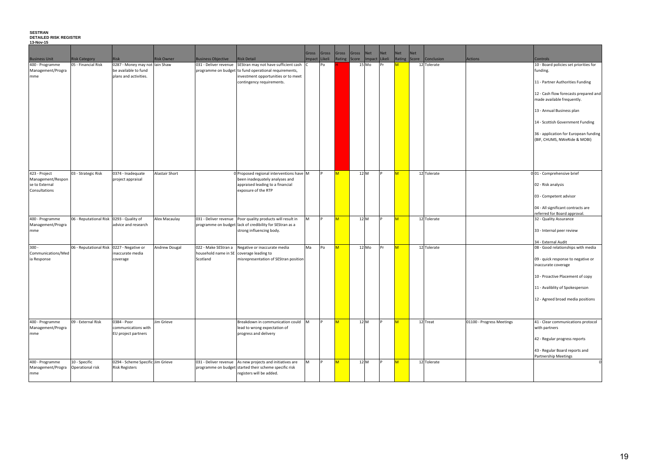#### **SESTRAN DETAILED RISK REGISTER**

| 13-Nov-15                                            |                                             |                                                                                 |                   |                                                                  |                                                                                                                                                                                         |       |                |              |             |               |            |                         |                        |                                  |                           |                                                                                        |
|------------------------------------------------------|---------------------------------------------|---------------------------------------------------------------------------------|-------------------|------------------------------------------------------------------|-----------------------------------------------------------------------------------------------------------------------------------------------------------------------------------------|-------|----------------|--------------|-------------|---------------|------------|-------------------------|------------------------|----------------------------------|---------------------------|----------------------------------------------------------------------------------------|
|                                                      |                                             |                                                                                 |                   |                                                                  |                                                                                                                                                                                         | Gross | Gross          |              | Gross Gross | Net           | <b>Net</b> | <b>Net</b>              | Net                    |                                  |                           |                                                                                        |
| <b>Business Unit</b>                                 | <b>Risk Category</b>                        | Risk                                                                            | <b>Risk Owner</b> | <b>Business Objective</b>                                        | <b>Risk Detail</b>                                                                                                                                                                      |       | Impact Likeli  | Rating Score |             | Impact Likeli |            | Rating Score            |                        | Conclusion                       | <b>Actions</b>            | <b>Controls</b>                                                                        |
| 400 - Programme<br>Management/Progra<br>mme          | 05 - Financial Risk                         | 0287 - Money may not lain Shaw<br>be available to fund<br>plans and activities. |                   |                                                                  | 031 - Deliver revenue SEStran may not have sufficient cash<br>programme on budget to fund operational requirements,<br>investment opportunities or to meet<br>contingency requirements. |       | P <sub>O</sub> |              |             | 15 Mo         | Pr         | M                       |                        | 12 Tolerate                      |                           | 10 - Board policies set priorities for<br>funding.<br>11 - Partner Authorities Funding |
|                                                      |                                             |                                                                                 |                   |                                                                  |                                                                                                                                                                                         |       |                |              |             |               |            |                         |                        |                                  |                           | 12 - Cash flow forecasts prepared and<br>made available frequently.                    |
|                                                      |                                             |                                                                                 |                   |                                                                  |                                                                                                                                                                                         |       |                |              |             |               |            |                         |                        | 13 - Annual Business plan        |                           |                                                                                        |
|                                                      |                                             |                                                                                 |                   |                                                                  |                                                                                                                                                                                         |       |                |              |             |               |            |                         |                        |                                  |                           | 14 - Scottish Government Funding                                                       |
|                                                      |                                             |                                                                                 |                   |                                                                  |                                                                                                                                                                                         |       |                |              |             |               |            |                         |                        |                                  |                           | 36 - application for European funding<br>(BIF, CHUMS, NWeRide & MOBI)                  |
|                                                      |                                             |                                                                                 |                   |                                                                  |                                                                                                                                                                                         |       |                |              |             |               |            |                         |                        |                                  |                           |                                                                                        |
| 423 - Project<br>Management/Respon<br>se to External | 03 - Strategic Risk                         | 0374 - Inadequate<br>project appraisal                                          | Alastair Short    |                                                                  | 0 Proposed regional interventions have M<br>been inadequately analyses and<br>appraised leading to a financial                                                                          |       | IP.            | M            |             | 12 M          |            | $\overline{\mathsf{M}}$ |                        | 12 Tolerate                      |                           | 001 - Comprehensive brief<br>02 - Risk analysis                                        |
| Consultations                                        |                                             | exposure of the RTP                                                             |                   |                                                                  |                                                                                                                                                                                         |       |                |              |             |               |            |                         | 03 - Competent advisor |                                  |                           |                                                                                        |
|                                                      |                                             |                                                                                 |                   |                                                                  |                                                                                                                                                                                         |       |                |              |             |               |            |                         |                        |                                  |                           | 04 - All significant contracts are<br>referred for Board approval.                     |
| 400 - Programme                                      | 06 - Reputational Risk   0293 - Quality of  |                                                                                 | Alex Macaulay     |                                                                  | 031 - Deliver revenue   Poor quality products will result in                                                                                                                            | M     | $\mathsf{P}$   | $\mathsf{M}$ |             | 12 M          |            | <b>M</b>                |                        | 12 Tolerate                      |                           | 32 - Quality Assurance                                                                 |
| Management/Progra<br>mme                             |                                             | advice and research                                                             |                   |                                                                  | programme on budget lack of credibility for SEStran as a<br>strong influencing body.                                                                                                    |       |                |              |             |               |            |                         |                        |                                  |                           | 33 - Internal peer review                                                              |
|                                                      |                                             |                                                                                 |                   |                                                                  |                                                                                                                                                                                         |       |                |              |             |               |            |                         |                        |                                  |                           | 34 - External Audit                                                                    |
| $300 -$<br>Communications/Med                        | 06 - Reputational Risk   0227 - Negative or | inaccurate media                                                                | Andrew Dougal     | 022 - Make SEStran a<br>household name in SE coverage leading to | Negative or inaccurate media                                                                                                                                                            | Ma    | P <sub>O</sub> | $\mathsf{M}$ |             | 12 Mo         | Pr         | M                       |                        | 12 Tolerate                      |                           | 08 - Good relationships with media                                                     |
| ia Response                                          |                                             | coverage                                                                        |                   | Scotland                                                         | misrepresentation of SEStran position                                                                                                                                                   |       |                |              |             |               |            |                         |                        |                                  |                           | 09 - quick response to negative or                                                     |
|                                                      |                                             |                                                                                 |                   |                                                                  |                                                                                                                                                                                         |       |                |              |             |               |            |                         |                        |                                  |                           | inaccurate coverage                                                                    |
|                                                      |                                             |                                                                                 |                   |                                                                  |                                                                                                                                                                                         |       |                |              |             |               |            |                         |                        | 10 - Proactive Placement of copy |                           |                                                                                        |
|                                                      |                                             |                                                                                 |                   |                                                                  |                                                                                                                                                                                         |       |                |              |             |               |            |                         |                        |                                  |                           | 11 - Avaliblity of Spokesperson                                                        |
|                                                      |                                             |                                                                                 |                   |                                                                  |                                                                                                                                                                                         |       |                |              |             |               |            |                         |                        |                                  |                           | 12 - Agreed broad media positions                                                      |
|                                                      |                                             |                                                                                 |                   |                                                                  |                                                                                                                                                                                         |       |                |              |             |               |            |                         |                        |                                  |                           |                                                                                        |
| 400 - Programme<br>Management/Progra<br>mme          | 09 - External Risk                          | 0384 - Poor<br>communications with<br>EU project partners                       | Jim Grieve        |                                                                  | Breakdown in communication could<br>lead to wrong expectation of<br>progress and delivery                                                                                               | M     | $\mathsf{P}$   | $\mathsf{M}$ |             | 12 M          |            | <b>M</b>                |                        | 12 Treat                         | 01100 - Progress Meetings | 41 - Clear communications protocol<br>with partners                                    |
|                                                      |                                             |                                                                                 |                   |                                                                  |                                                                                                                                                                                         |       |                |              |             |               |            |                         |                        |                                  |                           | 42 - Regular progress reports                                                          |
|                                                      |                                             |                                                                                 |                   |                                                                  |                                                                                                                                                                                         |       |                |              |             |               |            |                         |                        |                                  |                           | 43 - Regular Board reports and<br>Partnership Meetings                                 |
| 400 - Programme<br>Management/Progra                 | 10 - Specific<br>Operational risk           | 0294 - Scheme Specific Jim Grieve<br><b>Risk Registers</b>                      |                   |                                                                  | 031 - Deliver revenue As new projects and initiatives are<br>programme on budget started their scheme specific risk                                                                     | M     | $\mathsf{P}$   | M            |             | 12 M          |            | <b>M</b>                |                        | 12 Tolerate                      |                           |                                                                                        |
| mme                                                  |                                             |                                                                                 |                   |                                                                  | registers will be added.                                                                                                                                                                |       |                |              |             |               |            |                         |                        |                                  |                           |                                                                                        |

|     | Controls                                                              |
|-----|-----------------------------------------------------------------------|
|     | 10 - Board policies set priorities for<br>funding.                    |
|     | 11 - Partner Authorities Funding                                      |
|     | 12 - Cash flow forecasts prepared and<br>made available frequently.   |
|     | 13 - Annual Business plan                                             |
|     | 14 - Scottish Government Funding                                      |
|     | 36 - application for European funding<br>(BIF, CHUMS, NWeRide & MOBI) |
|     |                                                                       |
|     | 001 - Comprehensive brief                                             |
|     | 02 - Risk analysis                                                    |
|     | 03 - Competent advisor                                                |
|     | 04 - All significant contracts are                                    |
|     | referred for Board approval.<br>32 - Quality Assurance                |
|     | 33 - Internal peer review                                             |
|     |                                                                       |
|     | 34 - External Audit                                                   |
|     | 08 - Good relationships with media                                    |
|     | 09 - quick response to negative or                                    |
|     | inaccurate coverage                                                   |
|     | 10 - Proactive Placement of copy                                      |
|     | 11 - Avaliblity of Spokesperson                                       |
|     | 12 - Agreed broad media positions                                     |
|     |                                                                       |
| ngs | 41 - Clear communications protocol                                    |
|     | with partners                                                         |
|     | 42 - Regular progress reports                                         |
|     | 43 - Regular Board reports and<br><b>Partnership Meetings</b>         |
|     | 0                                                                     |
|     |                                                                       |
|     |                                                                       |